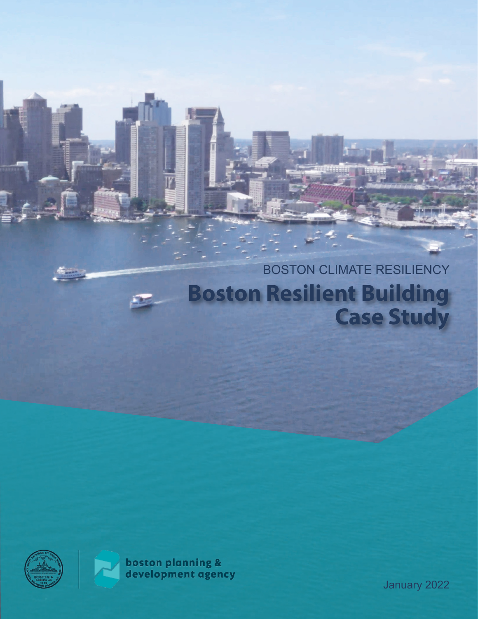# BOSTON CLIMATE RESILIENCY **Boston Resilient Building Case Study**





**boston planning &**<br>development agency

January 2022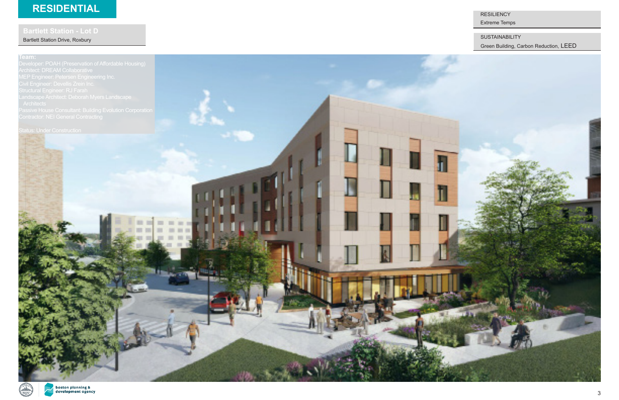### **Team:**

Architect: DREAM Collaborative MEP Engineer: Petersen Engineering Inc.



**RESILIENCY** 

F

Bartlett Station Drive, Roxbury

# **RESIDENTIAL**

SUSTAINABILITY

Extreme Temps

Green Building, Carbon Reduction[, LEED](https://bpda.box.com/s/6igdytk411a6oujl7ituidbs0njsitro)